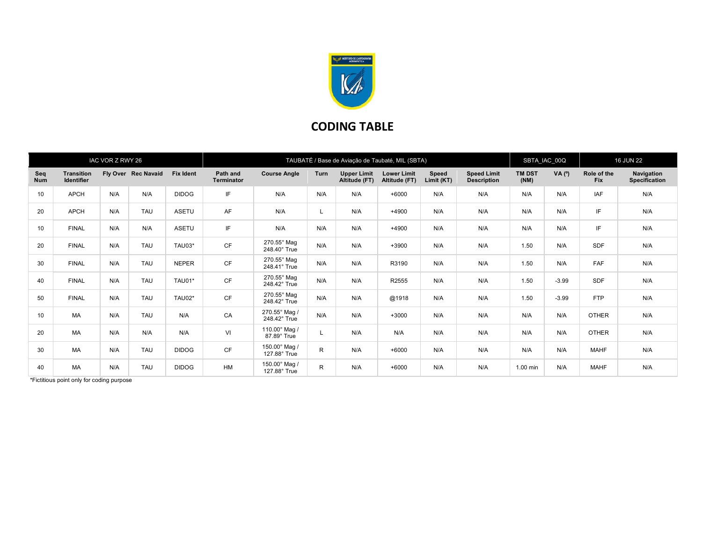

## CODING TABLE

| IAC VOR Z RWY 26  |                                        |     |                     |                  | TAUBATÉ / Base de Aviação de Taubaté, MIL (SBTA) |                               |              |                                     |                                     |                     |                                          | SBTA_IAC_00Q          |            | <b>16 JUN 22</b>          |                                    |
|-------------------|----------------------------------------|-----|---------------------|------------------|--------------------------------------------------|-------------------------------|--------------|-------------------------------------|-------------------------------------|---------------------|------------------------------------------|-----------------------|------------|---------------------------|------------------------------------|
| Seq<br><b>Num</b> | <b>Transition</b><br><b>Identifier</b> |     | Fly Over Rec Navaid | <b>Fix Ident</b> | Path and<br><b>Terminator</b>                    | <b>Course Angle</b>           | <b>Turn</b>  | <b>Upper Limit</b><br>Altitude (FT) | <b>Lower Limit</b><br>Altitude (FT) | Speed<br>Limit (KT) | <b>Speed Limit</b><br><b>Description</b> | <b>TM DST</b><br>(NM) | $VA(^{o})$ | Role of the<br><b>Fix</b> | Navigation<br><b>Specification</b> |
| 10                | <b>APCH</b>                            | N/A | N/A                 | <b>DIDOG</b>     | IF                                               | N/A                           | N/A          | N/A                                 | $+6000$                             | N/A                 | N/A                                      | N/A                   | N/A        | <b>IAF</b>                | N/A                                |
| 20                | <b>APCH</b>                            | N/A | <b>TAU</b>          | ASETU            | AF                                               | N/A                           |              | N/A                                 | $+4900$                             | N/A                 | N/A                                      | N/A                   | N/A        | IF                        | N/A                                |
| 10                | <b>FINAL</b>                           | N/A | N/A                 | ASETU            | IF                                               | N/A                           | N/A          | N/A                                 | +4900                               | N/A                 | N/A                                      | N/A                   | N/A        | IF                        | N/A                                |
| 20                | <b>FINAL</b>                           | N/A | <b>TAU</b>          | TAU03*           | CF                                               | 270.55° Mag<br>248.40° True   | N/A          | N/A                                 | $+3900$                             | N/A                 | N/A                                      | 1.50                  | N/A        | <b>SDF</b>                | N/A                                |
| 30                | <b>FINAL</b>                           | N/A | <b>TAU</b>          | <b>NEPER</b>     | CF                                               | 270.55° Mag<br>248.41° True   | N/A          | N/A                                 | R3190                               | N/A                 | N/A                                      | 1.50                  | N/A        | FAF                       | N/A                                |
| 40                | <b>FINAL</b>                           | N/A | <b>TAU</b>          | TAU01*           | <b>CF</b>                                        | 270.55° Mag<br>248.42° True   | N/A          | N/A                                 | R2555                               | N/A                 | N/A                                      | 1.50                  | $-3.99$    | <b>SDF</b>                | N/A                                |
| 50                | <b>FINAL</b>                           | N/A | <b>TAU</b>          | TAU02*           | <b>CF</b>                                        | 270.55° Mag<br>248.42° True   | N/A          | N/A                                 | @1918                               | N/A                 | N/A                                      | 1.50                  | $-3.99$    | <b>FTP</b>                | N/A                                |
| 10                | MA                                     | N/A | <b>TAU</b>          | N/A              | CA                                               | 270.55° Mag /<br>248.42° True | N/A          | N/A                                 | $+3000$                             | N/A                 | N/A                                      | N/A                   | N/A        | <b>OTHER</b>              | N/A                                |
| 20                | MA                                     | N/A | N/A                 | N/A              | VI                                               | 110.00° Mag /<br>87.89° True  |              | N/A                                 | N/A                                 | N/A                 | N/A                                      | N/A                   | N/A        | <b>OTHER</b>              | N/A                                |
| 30                | MA                                     | N/A | <b>TAU</b>          | <b>DIDOG</b>     | CF                                               | 150.00° Mag /<br>127.88° True | R            | N/A                                 | $+6000$                             | N/A                 | N/A                                      | N/A                   | N/A        | <b>MAHF</b>               | N/A                                |
| 40                | MA                                     | N/A | <b>TAU</b>          | <b>DIDOG</b>     | HM                                               | 150.00° Mag /<br>127.88° True | $\mathsf{R}$ | N/A                                 | $+6000$                             | N/A                 | N/A                                      | $1.00$ min            | N/A        | <b>MAHF</b>               | N/A                                |

\*Fictitious point only for coding purpose